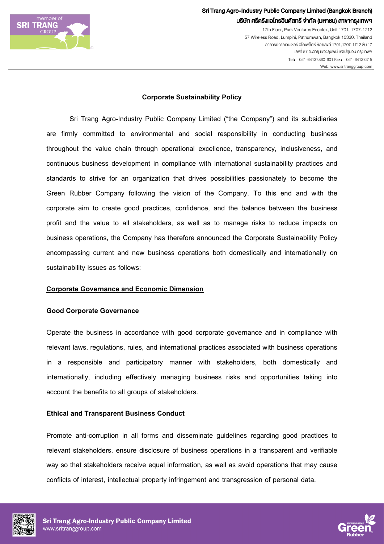

Sri Trang Agro-Industry Public Company Limited (Bangkok Branch) บริษัท ศรีตรังแอโกรอินดัสทรี จำกัด (มหาชน) สาขากรุงเทพฯ

> 17th Floor, Park Ventures Ecoplex, Unit 1701, 1707-1712 57 Wireless Road, Lumpini, Pathumwan, Bangkok 10330, Thailand อาคารปารคเวนเชอร อีโคเพล็กซ หองเลขที่ 1701,1707-1712ชั้น 17 เลงที่ 57 ถ.วิทยุ แขวงลุมพินี เขตปทุมวัน กรุงเทพฯ Tel: 021-64137860-601 Fax: 021-64137315 Web[: www.sritranggroup.com](http://www.sritranggroup.com/)

## **Corporate Sustainability Policy**

Sri Trang Agro-Industry Public Company Limited ("the Company") and its subsidiaries are firmly committed to environmental and social responsibility in conducting business throughout the value chain through operational excellence, transparency, inclusiveness, and continuous business development in compliance with international sustainability practices and standards to strive for an organization that drives possibilities passionately to become the Green Rubber Company following the vision of the Company. To this end and with the corporate aim to create good practices, confidence, and the balance between the business profit and the value to all stakeholders, as well as to manage risks to reduce impacts on business operations, the Company has therefore announced the Corporate Sustainability Policy encompassing current and new business operations both domestically and internationally on sustainability issues as follows:

#### **Corporate Governance and Economic Dimension**

#### **Good Corporate Governance**

Operate the business in accordance with good corporate governance and in compliance with relevant laws, regulations, rules, and international practices associated with business operations in a responsible and participatory manner with stakeholders, both domestically and internationally, including effectively managing business risks and opportunities taking into account the benefits to all groups of stakeholders.

## **Ethical and Transparent Business Conduct**

Promote anti-corruption in all forms and disseminate guidelines regarding good practices to relevant stakeholders, ensure disclosure of business operations in a transparent and verifiable way so that stakeholders receive equal information, as well as avoid operations that may cause conflicts of interest, intellectual property infringement and transgression of personal data.



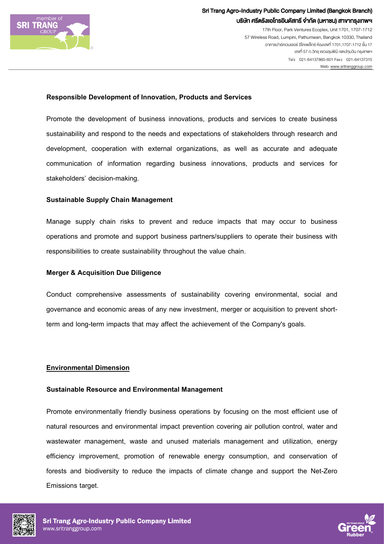

# Sri Trang Agro-Industry Public Company Limited (Bangkok Branch) บริษัท ศรีตรังแอโกรอินดัสทรี จำกัด (มหาชน) สาขากรุงเทพฯ

17th Floor, Park Ventures Ecoplex, Unit 1701, 1707-1712 57 Wireless Road, Lumpini, Pathumwan, Bangkok 10330, Thailand อาคารปารคเวนเชอร อีโคเพล็กซ หองเลขที่ 1701,1707-1712ชั้น 17 เลขที่ 57 ถ.ว�ทยุ แขวงลุมพ�นี เขตปทุมวัน กรุงเทพฯ Tel: 021-64137860-601 Fax: 021-64137315 Web[: www.sritranggroup.com](http://www.sritranggroup.com/) 

#### **Responsible Development of Innovation, Products and Services**

Promote the development of business innovations, products and services to create business sustainability and respond to the needs and expectations of stakeholders through research and development, cooperation with external organizations, as well as accurate and adequate communication of information regarding business innovations, products and services for stakeholders' decision-making.

#### **Sustainable Supply Chain Management**

Manage supply chain risks to prevent and reduce impacts that may occur to business operations and promote and support business partners/suppliers to operate their business with responsibilities to create sustainability throughout the value chain.

#### **Merger & Acquisition Due Diligence**

Conduct comprehensive assessments of sustainability covering environmental, social and governance and economic areas of any new investment, merger or acquisition to prevent shortterm and long-term impacts that may affect the achievement of the Company's goals.

## **Environmental Dimension**

#### **Sustainable Resource and Environmental Management**

Promote environmentally friendly business operations by focusing on the most efficient use of natural resources and environmental impact prevention covering air pollution control, water and wastewater management, waste and unused materials management and utilization, energy efficiency improvement, promotion of renewable energy consumption, and conservation of forests and biodiversity to reduce the impacts of climate change and support the Net-Zero Emissions target.



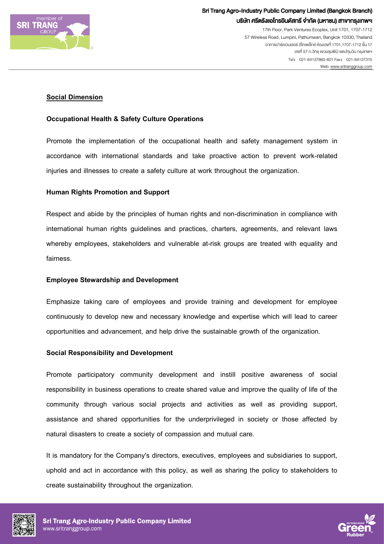

## **Social Dimension**

## **Occupational Health & Safety Culture Operations**

Promote the implementation of the occupational health and safety management system in accordance with international standards and take proactive action to prevent work-related injuries and illnesses to create a safety culture at work throughout the organization.

## **Human Rights Promotionand Support**

Respect and abide by the principles of human rights and non-discrimination in compliance with international human rights guidelines and practices, charters, agreements, and relevant laws whereby employees, stakeholders and vulnerable at-risk groups are treated with equality and fairness.

## **Employee Stewardship and Development**

Emphasize taking care of employees and provide training and development for employee continuously to develop new and necessary knowledge and expertise which will lead to career opportunities and advancement, and help drive the sustainable growth of the organization.

## **Social Responsibility and Development**

Promote participatory community development and instill positive awareness of social responsibility in business operations to create shared value and improve the quality of life of the community through various social projects and activities as well as providing support, assistance and shared opportunities for the underprivileged in society or those affected by natural disasters to create a society of compassion and mutual care.

It is mandatory for the Company's directors, executives, employees and subsidiaries to support, uphold and act in accordance with this policy, as well as sharing the policy to stakeholders to create sustainability throughout the organization.